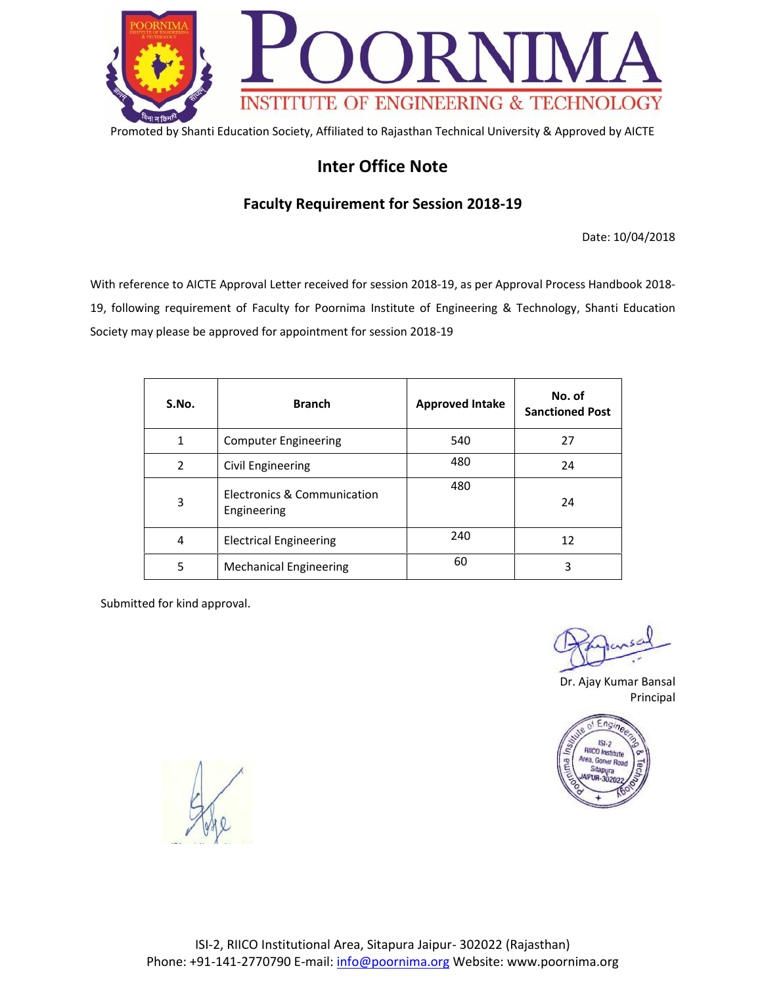

### **Inter Office Note**

#### **Faculty Requirement for Session 2018-19**

Date: 10/04/2018

With reference to AICTE Approval Letter received for session 2018-19, as per Approval Process Handbook 2018- 19, following requirement of Faculty for Poornima Institute of Engineering & Technology, Shanti Education Society may please be approved for appointment for session 2018-19

| S.No.          | <b>Branch</b>                              | <b>Approved Intake</b> | No. of<br><b>Sanctioned Post</b> |
|----------------|--------------------------------------------|------------------------|----------------------------------|
| 1              | <b>Computer Engineering</b>                | 540                    | 27                               |
| $\overline{2}$ | Civil Engineering                          | 480                    | 24                               |
| 3              | Electronics & Communication<br>Engineering | 480                    | 24                               |
| 4              | <b>Electrical Engineering</b>              | 240                    | 12                               |
| 5              | <b>Mechanical Engineering</b>              | 60                     | 3                                |

Dr. Ajay Kumar Bansal Principal

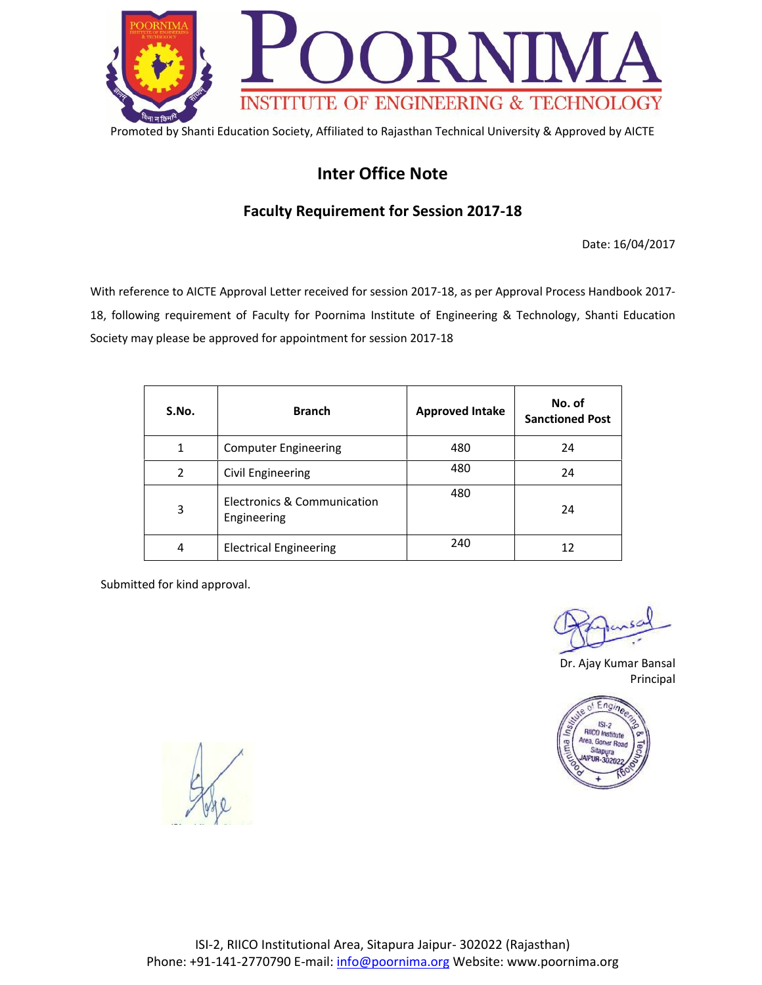

# **Inter Office Note**

### **Faculty Requirement for Session 2017-18**

Date: 16/04/2017

With reference to AICTE Approval Letter received for session 2017-18, as per Approval Process Handbook 2017- 18, following requirement of Faculty for Poornima Institute of Engineering & Technology, Shanti Education Society may please be approved for appointment for session 2017-18

| S.No. | <b>Branch</b>                              | <b>Approved Intake</b> | No. of<br><b>Sanctioned Post</b> |
|-------|--------------------------------------------|------------------------|----------------------------------|
| 1     | <b>Computer Engineering</b>                | 480                    | 24                               |
| 2     | Civil Engineering                          | 480                    | 24                               |
| 3     | Electronics & Communication<br>Engineering | 480                    | 24                               |
| 4     | <b>Electrical Engineering</b>              | 240                    | 12                               |

Dr. Ajay Kumar Bansal Principal

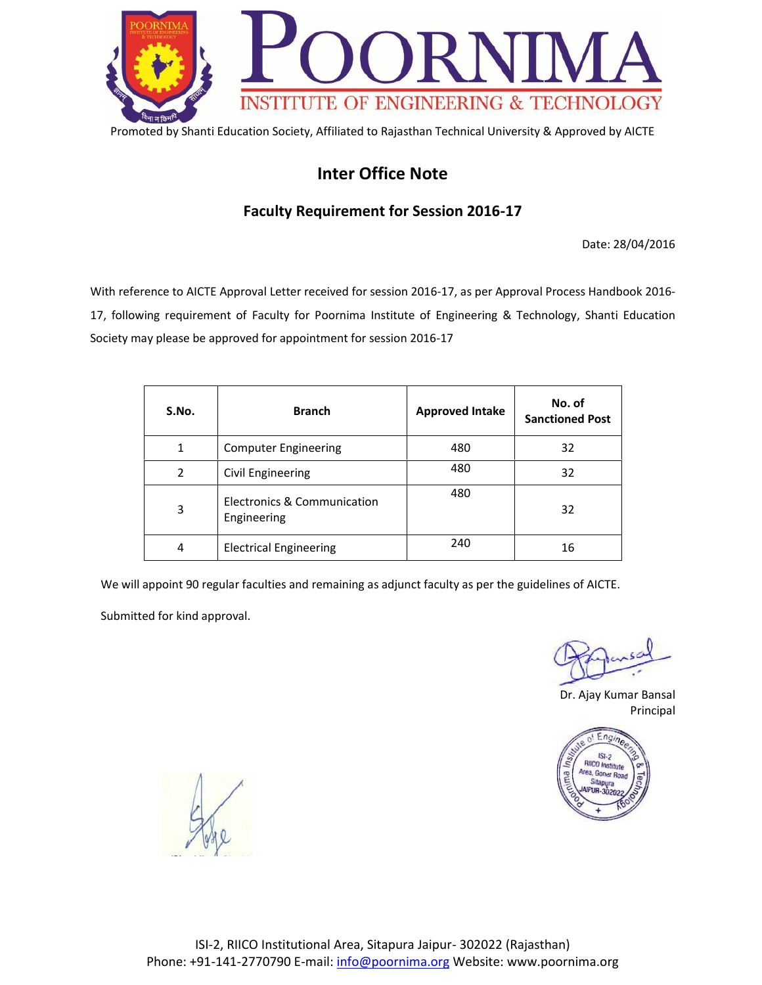

# **Inter Office Note**

### **Faculty Requirement for Session 2016-17**

Date: 28/04/2016

With reference to AICTE Approval Letter received for session 2016-17, as per Approval Process Handbook 2016- 17, following requirement of Faculty for Poornima Institute of Engineering & Technology, Shanti Education Society may please be approved for appointment for session 2016-17

| S.No. | <b>Branch</b>                              | <b>Approved Intake</b> | No. of<br><b>Sanctioned Post</b> |
|-------|--------------------------------------------|------------------------|----------------------------------|
| 1     | <b>Computer Engineering</b>                | 480                    | 32                               |
| 2     | Civil Engineering                          | 480                    | 32                               |
| 3     | Electronics & Communication<br>Engineering | 480                    | 32                               |
| 4     | <b>Electrical Engineering</b>              | 240                    | 16                               |

We will appoint 90 regular faculties and remaining as adjunct faculty as per the guidelines of AICTE.

Dr. Ajay Kumar Bansal Principal

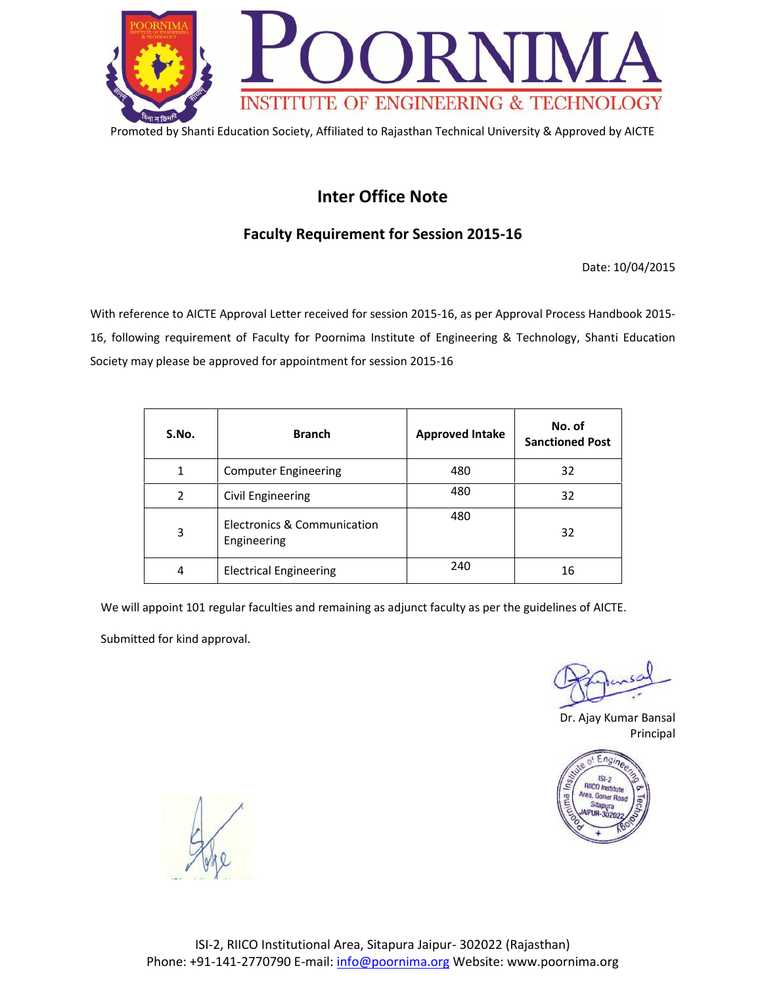

## **Inter Office Note**

### **Faculty Requirement for Session 2015-16**

Date: 10/04/2015

With reference to AICTE Approval Letter received for session 2015-16, as per Approval Process Handbook 2015- 16, following requirement of Faculty for Poornima Institute of Engineering & Technology, Shanti Education Society may please be approved for appointment for session 2015-16

| S.No.          | <b>Branch</b>                              | <b>Approved Intake</b> | No. of<br><b>Sanctioned Post</b> |
|----------------|--------------------------------------------|------------------------|----------------------------------|
| 1              | <b>Computer Engineering</b>                | 480                    | 32                               |
| $\overline{2}$ | Civil Engineering                          | 480                    | 32                               |
| 3              | Electronics & Communication<br>Engineering | 480                    | 32                               |
| 4              | <b>Electrical Engineering</b>              | 240                    | 16                               |

We will appoint 101 regular faculties and remaining as adjunct faculty as per the guidelines of AICTE.

Dr. Ajay Kumar Bansal Principal

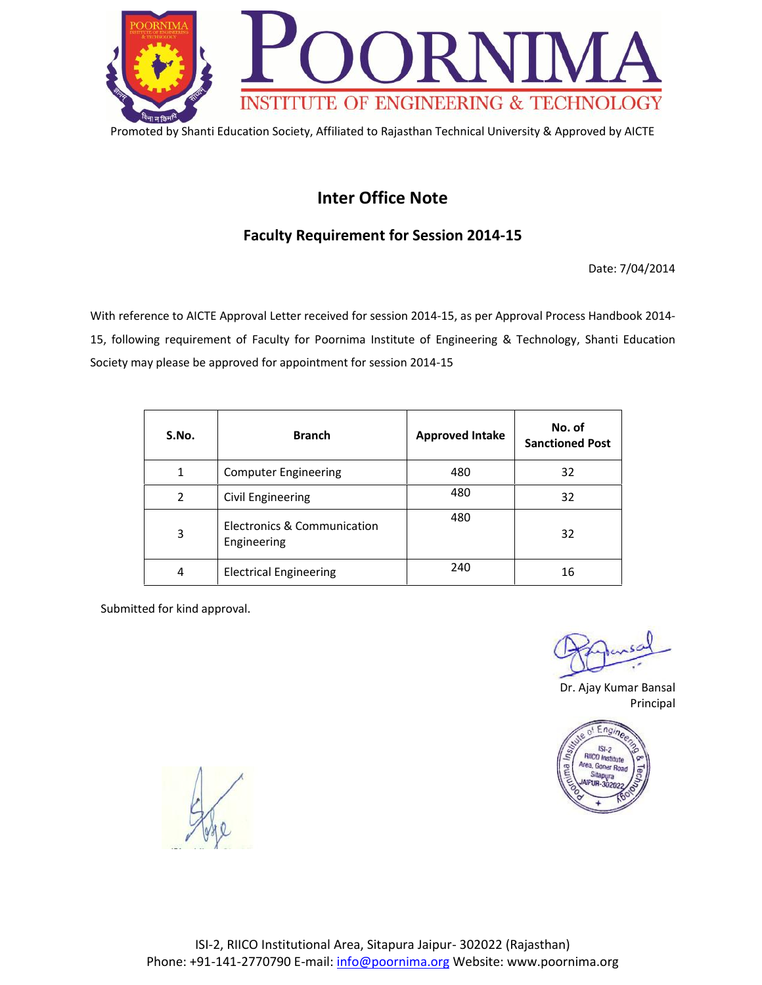

## **Inter Office Note**

### **Faculty Requirement for Session 2014-15**

Date: 7/04/2014

With reference to AICTE Approval Letter received for session 2014-15, as per Approval Process Handbook 2014- 15, following requirement of Faculty for Poornima Institute of Engineering & Technology, Shanti Education Society may please be approved for appointment for session 2014-15

| S.No.          | <b>Branch</b>                              | <b>Approved Intake</b> | No. of<br><b>Sanctioned Post</b> |
|----------------|--------------------------------------------|------------------------|----------------------------------|
| 1              | <b>Computer Engineering</b>                | 480                    | 32                               |
| $\overline{2}$ | Civil Engineering                          | 480                    | 32                               |
| 3              | Electronics & Communication<br>Engineering | 480                    | 32                               |
| 4              | <b>Electrical Engineering</b>              | 240                    | 16                               |

Dr. Ajay Kumar Bansal Principal